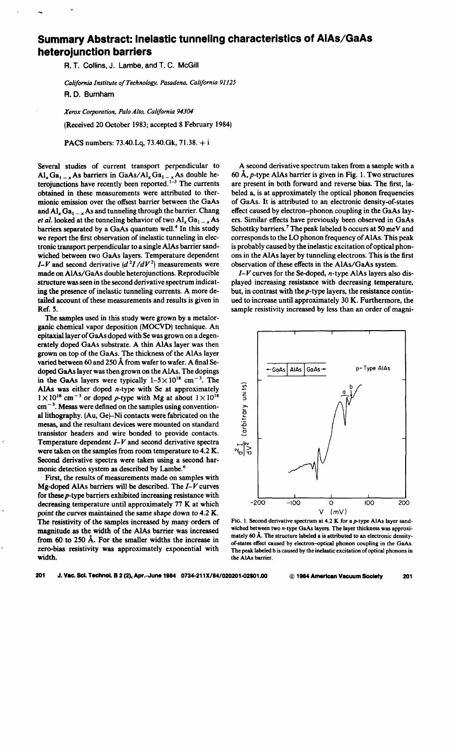## **Summary Abstract: Inelastic tunneling characteristics of AIAs/GaAs heterojunction barriers**

A. T. Collins, J. Lambe, and T. C. McGill

*California Institute of Technology, Pasadena, California 91125*  R. D. Burnham

*Xerox Corporation, Palo Alto, California 94304* 

!Received 20 October 1983; accepted 8 February 1984)

PACS numbers: 73.40.Lq, 73.40.Gk, 71.38. + <sup>i</sup>

Several studies of current transport perpendicular to  $\text{Al}_{x} \text{Ga}_{1-x}$  As barriers in GaAs/ $\text{Al}_{x} \text{Ga}_{1-x}$  As double heterojunctions have recently been reported.<sup>1-3</sup> The currents obtained in these measurements were attributed to thermionic emission over the offsest barrier between the GaAs and  $AI_x Ga_{1-x}$  As and tunneling through the barrier. Chang *et al.* looked at the tunneling behavior of two  $AI_x Ga_{1-x} As$ barriers separated by a GaAs quantum well.<sup>4</sup> In this study we report the first observation of inelastic tunneling in electronic transport perpendicular to a single AlAs barrier sandwiched between two GaAs layers. Temperature dependent *I-V* and second derivative  $(d^2I/dV^2)$  measurements were made on AlAs/GaAs double heterojunctions. Reproducible structure was seen in the second derivative spectrum indicating the presence of inelastic tunneling currents. A more detailed account of these measurements and results is given in Ref. *5.* 

The samples used in this study were grown by a metalorganic chemical vapor deposition (MOCVD) technique. An epitaxial layer of GaAs doped with Se was grown on a degenerately doped GaAs substrate. A thin AlAs layer was then grown on top of the GaAs. The thickness of the AlAs layer varied between 60 and 250 A from wafer to wafer. A final Sedoped GaAs layer was then grown on the AlAs. The dopings in the GaAs layers were typically  $1-5 \times 10^{18}$  cm<sup>-3</sup>. The AlAs was either doped  $n$ -type with Se at approximately  $1 \times 10^{18}$  cm<sup>-3</sup> or doped p-type with Mg at about  $1 \times 10^{18}$  $cm<sup>-3</sup>$ . Mesas were defined on the samples using conventional lithography. (Au, Ge)-Ni contacts were fabricated on the mesas, and the resultant devices were mounted on standard transistor headers and wire bonded to provide contacts. Temperature dependent *I-V* and second derivative spectra were taken on the samples from room temperature to 4.2 K. Second derivative spectra were taken using a second harmonic detection system as described by Lambe. 6

First, the results of measurements made on samples with Mg-doped AlAs barriers will be described. The *I-V* curves for these p-type barriers exhibited increasing resistance with decreasing temperature until approximately 77 K at which point the curves maintained the same shape down to *4.2* K. The resistivity of the samples increased by many orders of magnitude as the width of the AlAs barrier was increased from 60 to 250 A. For the smaller widths the increase in zero-bias resistivity was approximately exponential with width.

A second derivative spectrum taken from a sample with a 60 Å,  $p$ -type AlAs barrier is given in Fig. 1. Two structures are present in both forward and reverse bias. The first, labeled a, is at approximately the optical phonon frequencies of GaAs. It is attributed to an electronic density-of-states effect caused by electron-phonon coupling in the GaAs layers. Similar effects have previously been observed in GaAs Schottky barriers. 7 The peak labeled b occurs at *SO* me V and corresponds to the LO phonon frequency of AlAs. This peak is probably caused by the inelastic excitation of optical phonons in the AlAs layer by tunneling electrons. This is the first observation of these effects in the AlAs/GaAs system.

*I-V* curves for the Se-doped, n-type AlAs layers also displayed increasing resistance with decreasing temperature, but, in contrast with the p-type layers, the resistance continued to increase until approximately 30 K. Furthermore, the sample resistivity increased by less than an order of magni-



FIG. 1. Second derivative spectrum at  $4.2$  K for a p-type AlAs layer sandwiched between two n-type GaAs layers. The layer thickness was approximately 60 A. The structure labeled a is attributed to an electronic densityof-states effect caused by electron-optical phonon coupling in the GaAs. The peak labeled b is caused by the inelastic excitation of optical phonons in the AlAs barrier.

201 J. Vac. Sci. Technol. B 2 (2), Apr.-June 1984 0734-211X/84/020201-02\$01.00 @ 1984 American Vacuum Society 201